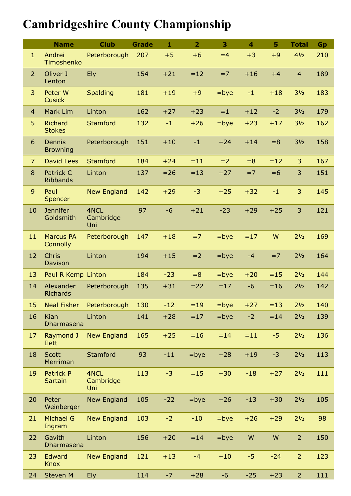## **Cambridgeshire County Championship**

|                | <b>Name</b>                        | <b>Club</b>              | <b>Grade</b> | $\mathbf{1}$ | $\overline{2}$ | 3       | $\overline{\mathbf{4}}$ | 5     | <b>Total</b>      | Gp  |
|----------------|------------------------------------|--------------------------|--------------|--------------|----------------|---------|-------------------------|-------|-------------------|-----|
| $\mathbf{1}$   | Andrei<br>Timoshenko               | Peterborough             | 207          | $+5$         | $+6$           | $=4$    | $+3$                    | $+9$  | 41/2              | 210 |
| $\overline{2}$ | Oliver J<br>Lenton                 | Ely                      | 154          | $+21$        | $=12$          | $=7$    | $+16$                   | $+4$  | $\overline{4}$    | 189 |
| $\overline{3}$ | Peter W<br><b>Cusick</b>           | <b>Spalding</b>          | 181          | $+19$        | $+9$           | $=$ bye | $-1$                    | $+18$ | 3 <sub>2</sub>    | 183 |
| $\overline{4}$ | Mark Lim                           | Linton                   | 162          | $+27$        | $+23$          | $=1$    | $+12$                   | $-2$  | $3\frac{1}{2}$    | 179 |
| 5              | <b>Richard</b><br><b>Stokes</b>    | <b>Stamford</b>          | 132          | $-1$         | $+26$          | $=$ bye | $+23$                   | $+17$ | 3 <sub>2</sub>    | 162 |
| 6              | <b>Dennis</b><br><b>Browning</b>   | Peterborough             | 151          | $+10$        | $-1$           | $+24$   | $+14$                   | $= 8$ | 3 <sub>2</sub>    | 158 |
| $\overline{7}$ | <b>David Lees</b>                  | Stamford                 | 184          | $+24$        | $=11$          | $=2$    | $= 8$                   | $=12$ | 3                 | 167 |
| 8              | Patrick C<br><b>Ribbands</b>       | Linton                   | 137          | $= 26$       | $=13$          | $+27$   | $=7$                    | $= 6$ | 3                 | 151 |
| 9              | Paul<br>Spencer                    | <b>New England</b>       | 142          | $+29$        | $-3$           | $+25$   | $+32$                   | $-1$  | 3                 | 145 |
| 10             | <b>Jennifer</b><br>Goldsmith       | 4NCL<br>Cambridge<br>Uni | 97           | $-6$         | $+21$          | $-23$   | $+29$                   | $+25$ | 3                 | 121 |
| 11             | <b>Marcus PA</b><br>Connolly       | Peterborough             | 147          | $+18$        | $=7$           | $=$ bye | $=17$                   | W     | 2 <sup>1</sup> /2 | 169 |
| 12             | <b>Chris</b><br>Davison            | Linton                   | 194          | $+15$        | $=2$           | $=$ bye | $-4$                    | $=7$  | 2 <sup>1</sup> /2 | 164 |
| 13             | Paul R Kemp Linton                 |                          | 184          | $-23$        | $= 8$          | $=$ bye | $+20$                   | $=15$ | $2\frac{1}{2}$    | 144 |
| 14             | Alexander<br><b>Richards</b>       | Peterborough             | 135          | $+31$        | $= 22$         | $=17$   | $-6$                    | $=16$ | 2 <sup>1</sup> /2 | 142 |
| 15             | <b>Neal Fisher</b>                 | Peterborough             | 130          | $-12$        | $=19$          | $=$ bye | $+27$                   | $=13$ | $2\frac{1}{2}$    | 140 |
| 16             | Kian<br>Dharmasena                 | Linton                   | 141          | $+28$        | $=17$          | $=$ bye | $-2$                    | $=14$ | 2 <sup>1</sup> /2 | 139 |
| 17             | Raymond J<br>Ilett                 | <b>New England</b>       | 165          | $+25$        | $=16$          | $= 14$  | $=11$                   | $-5$  | $2\frac{1}{2}$    | 136 |
| 18             | <b>Scott</b><br>Merriman           | Stamford                 | 93           | $-11$        | $=$ bye        | $+28$   | $+19$                   | $-3$  | $2\frac{1}{2}$    | 113 |
| 19             | <b>Patrick P</b><br><b>Sartain</b> | 4NCL<br>Cambridge<br>Uni | 113          | $-3$         | $=15$          | $+30$   | $-18$                   | $+27$ | $2\frac{1}{2}$    | 111 |
| 20             | Peter<br>Weinberger                | New England              | 105          | $-22$        | $=$ bye        | $+26$   | $-13$                   | $+30$ | $2\frac{1}{2}$    | 105 |
| 21             | Michael G<br>Ingram                | <b>New England</b>       | 103          | $-2$         | $-10$          | $=$ bye | $+26$                   | $+29$ | $2\frac{1}{2}$    | 98  |
| 22             | Gavith<br>Dharmasena               | Linton                   | 156          | $+20$        | $=14$          | $=$ bye | W                       | W     | $\overline{2}$    | 150 |
| 23             | Edward<br><b>Knox</b>              | <b>New England</b>       | 121          | $+13$        | $-4$           | $+10$   | $-5$                    | $-24$ | $\overline{2}$    | 123 |
| 24             | <b>Steven M</b>                    | <b>Ely</b>               | 114          | $-7$         | $+28$          | $-6$    | $-25$                   | $+23$ | $\overline{2}$    | 111 |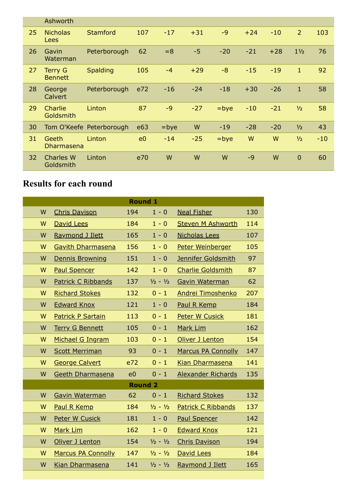|    | Ashworth                         |                          |                 |         |       |         |       |       |                |       |
|----|----------------------------------|--------------------------|-----------------|---------|-------|---------|-------|-------|----------------|-------|
| 25 | <b>Nicholas</b><br>Lees          | <b>Stamford</b>          | 107             | $-17$   | $+31$ | $-9$    | $+24$ | $-10$ | $\overline{2}$ | 103   |
| 26 | Gavin<br>Waterman                | Peterborough             | 62              | $=8$    | $-5$  | $-20$   | $-21$ | $+28$ | $1\frac{1}{2}$ | 76    |
| 27 | <b>Terry G</b><br><b>Bennett</b> | <b>Spalding</b>          | 105             | $-4$    | $+29$ | $-8$    | $-15$ | $-19$ | $\mathbf{1}$   | 92    |
| 28 | George<br>Calvert                | Peterborough             | e72             | $-16$   | $-24$ | $-18$   | $+30$ | $-26$ | $\mathbf{1}$   | 58    |
| 29 | Charlie<br><b>Goldsmith</b>      | Linton                   | 87              | $-9$    | $-27$ | $=$ bye | $-10$ | $-21$ | 1/2            | 58    |
| 30 |                                  | Tom O'Keefe Peterborough | e <sub>63</sub> | $=$ bye | W     | $-19$   | $-28$ | $-20$ | 1/2            | 43    |
| 31 | Geeth<br><b>Dharmasena</b>       | Linton                   | e <sub>0</sub>  | $-14$   | $-25$ | $=$ bye | W     | W     | 1/2            | $-10$ |
| 32 | <b>Charles W</b><br>Goldsmith    | Linton                   | e70             | W       | W     | W       | $-9$  | W     | $\overline{0}$ | 60    |

## **Results for each round**

| <b>Round 1</b> |                           |                |             |                           |     |  |  |  |  |
|----------------|---------------------------|----------------|-------------|---------------------------|-----|--|--|--|--|
| W              | <b>Chris Davison</b>      | 194            | $1 - 0$     | <b>Neal Fisher</b>        | 130 |  |  |  |  |
| W              | David Lees                | 184            | $1 - 0$     | <b>Steven M Ashworth</b>  | 114 |  |  |  |  |
| W              | Raymond J Ilett           | 165            | $1 - 0$     | <b>Nicholas Lees</b>      | 107 |  |  |  |  |
| W              | <b>Gavith Dharmasena</b>  | 156            | $1 - 0$     | Peter Weinberger          | 105 |  |  |  |  |
| W              | Dennis Browning           | 151            | $1 - 0$     | Jennifer Goldsmith        | 97  |  |  |  |  |
| W              | <b>Paul Spencer</b>       | 142            | $1 - 0$     | <b>Charlie Goldsmith</b>  | 87  |  |  |  |  |
| W              | <b>Patrick C Ribbands</b> | 137            | $1/2 - 1/2$ | Gavin Waterman            | 62  |  |  |  |  |
| W              | <b>Richard Stokes</b>     | 132            | $0 - 1$     | <b>Andrei Timoshenko</b>  | 207 |  |  |  |  |
| W              | <b>Edward Knox</b>        | 121            | $1 - 0$     | Paul R Kemp               | 184 |  |  |  |  |
| W              | <b>Patrick P Sartain</b>  | 113            | $0 - 1$     | <b>Peter W Cusick</b>     | 181 |  |  |  |  |
| W              | <b>Terry G Bennett</b>    | 105            | $0 - 1$     | Mark Lim                  | 162 |  |  |  |  |
| W              | Michael G Ingram          | 103            | $0 - 1$     | Oliver J Lenton           | 154 |  |  |  |  |
| W              | <b>Scott Merriman</b>     | 93             | $0 - 1$     | <b>Marcus PA Connolly</b> | 147 |  |  |  |  |
| W              | <b>George Calvert</b>     | e72            | $0 - 1$     | Kian Dharmasena           | 141 |  |  |  |  |
| W              | Geeth Dharmasena          | e <sub>0</sub> | $0 - 1$     | <b>Alexander Richards</b> | 135 |  |  |  |  |
|                |                           | <b>Round 2</b> |             |                           |     |  |  |  |  |
| W              | Gavin Waterman            | 62             | $0 - 1$     | <b>Richard Stokes</b>     | 132 |  |  |  |  |
| W              | Paul R Kemp               | 184            | $1/2 - 1/2$ | <b>Patrick C Ribbands</b> | 137 |  |  |  |  |
| W              | Peter W Cusick            | 181            | $1 - 0$     | <b>Paul Spencer</b>       | 142 |  |  |  |  |
| W              | Mark Lim                  | 162            | $1 - 0$     | <b>Edward Knox</b>        | 121 |  |  |  |  |
| W              | Oliver J Lenton           | 154            | $1/2 - 1/2$ | <b>Chris Davison</b>      | 194 |  |  |  |  |
| W              | <b>Marcus PA Connolly</b> | 147            | $1/2 - 1/2$ | David Lees                | 184 |  |  |  |  |
| W              | Kian Dharmasena           | 141            | $1/2 - 1/2$ | Raymond J Ilett           | 165 |  |  |  |  |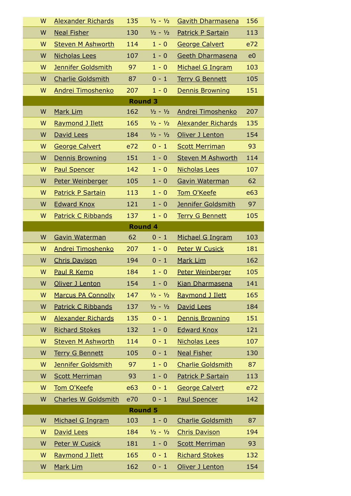| W              | <b>Alexander Richards</b>  | 135            | $1/2 - 1/2$ | <b>Gavith Dharmasena</b>  | 156            |  |  |  |  |
|----------------|----------------------------|----------------|-------------|---------------------------|----------------|--|--|--|--|
| W              | <b>Neal Fisher</b>         | 130            | $1/2 - 1/2$ | <b>Patrick P Sartain</b>  | 113            |  |  |  |  |
| W              | <b>Steven M Ashworth</b>   | 114            | $1 - 0$     | <b>George Calvert</b>     | e72            |  |  |  |  |
| W              | <b>Nicholas Lees</b>       | 107            | $1 - 0$     | <b>Geeth Dharmasena</b>   | e <sub>0</sub> |  |  |  |  |
| W              | Jennifer Goldsmith         | 97             | $1 - 0$     | Michael G Ingram          | 103            |  |  |  |  |
| W              | <b>Charlie Goldsmith</b>   | 87             | $0 - 1$     | <b>Terry G Bennett</b>    | 105            |  |  |  |  |
| W              | <b>Andrei Timoshenko</b>   | 207            | $1 - 0$     | <b>Dennis Browning</b>    | 151            |  |  |  |  |
|                |                            | <b>Round 3</b> |             |                           |                |  |  |  |  |
| W              | Mark Lim                   | 162            | $1/2 - 1/2$ | <b>Andrei Timoshenko</b>  | 207            |  |  |  |  |
| W              | Raymond J Ilett            | 165            | $1/2 - 1/2$ | <b>Alexander Richards</b> | 135            |  |  |  |  |
| W              | David Lees                 | 184            | $1/2 - 1/2$ | Oliver J Lenton           | 154            |  |  |  |  |
| W              | <b>George Calvert</b>      | e72            | $0 - 1$     | <b>Scott Merriman</b>     | 93             |  |  |  |  |
| W              | Dennis Browning            | 151            | $1 - 0$     | <b>Steven M Ashworth</b>  | 114            |  |  |  |  |
| W              | <b>Paul Spencer</b>        | 142            | $1 - 0$     | <b>Nicholas Lees</b>      | 107            |  |  |  |  |
| W              | Peter Weinberger           | 105            | $1 - 0$     | Gavin Waterman            | 62             |  |  |  |  |
| W              | <b>Patrick P Sartain</b>   | 113            | $1 - 0$     | Tom O'Keefe               | e63            |  |  |  |  |
| W              | <b>Edward Knox</b>         | 121            | $1 - 0$     | Jennifer Goldsmith        | 97             |  |  |  |  |
| W              | <b>Patrick C Ribbands</b>  | 137            | $1 - 0$     | <b>Terry G Bennett</b>    | 105            |  |  |  |  |
| <b>Round 4</b> |                            |                |             |                           |                |  |  |  |  |
| W              | Gavin Waterman             | 62             | $0 - 1$     | Michael G Ingram          | 103            |  |  |  |  |
| W              | <b>Andrei Timoshenko</b>   | 207            | $1 - 0$     | <b>Peter W Cusick</b>     | 181            |  |  |  |  |
| W              | <b>Chris Davison</b>       | 194            | $0 - 1$     | Mark Lim                  | 162            |  |  |  |  |
| W              | Paul R Kemp                | 184            | $1 - 0$     | Peter Weinberger          | 105            |  |  |  |  |
| W              | Oliver J Lenton            | 154            | $1 - 0$     | Kian Dharmasena           | 141            |  |  |  |  |
| W              | <b>Marcus PA Connolly</b>  | 147            | $1/2 - 1/2$ | Raymond J Ilett           | 165            |  |  |  |  |
| W              | <b>Patrick C Ribbands</b>  | 137            | $1/2 - 1/2$ | David Lees                | 184            |  |  |  |  |
| W              | <b>Alexander Richards</b>  | 135            | $0 - 1$     | Dennis Browning           | 151            |  |  |  |  |
| W              | <b>Richard Stokes</b>      | 132            | $1 - 0$     | <b>Edward Knox</b>        | 121            |  |  |  |  |
| W              | <b>Steven M Ashworth</b>   | 114            | $0 - 1$     | <b>Nicholas Lees</b>      | 107            |  |  |  |  |
| W              | <b>Terry G Bennett</b>     | 105            | $0 - 1$     | <b>Neal Fisher</b>        | 130            |  |  |  |  |
| W              | <b>Jennifer Goldsmith</b>  | 97             | $1 - 0$     | <b>Charlie Goldsmith</b>  | 87             |  |  |  |  |
| W              | <b>Scott Merriman</b>      | 93             | $1 - 0$     | <b>Patrick P Sartain</b>  | 113            |  |  |  |  |
| W              | Tom O'Keefe                | e63            | $0 - 1$     | <b>George Calvert</b>     | e72            |  |  |  |  |
| W              | <b>Charles W Goldsmith</b> | e70            | $0 - 1$     | <b>Paul Spencer</b>       | 142            |  |  |  |  |
|                |                            | <b>Round 5</b> |             |                           |                |  |  |  |  |
| W              | Michael G Ingram           | 103            | $1 - 0$     | <b>Charlie Goldsmith</b>  | 87             |  |  |  |  |
| W              | David Lees                 | 184            | $1/2 - 1/2$ | <b>Chris Davison</b>      | 194            |  |  |  |  |
| W              | Peter W Cusick             | 181            | $1 - 0$     | <b>Scott Merriman</b>     | 93             |  |  |  |  |
| W              | Raymond J Ilett            | 165            | $0 - 1$     | <b>Richard Stokes</b>     | 132            |  |  |  |  |
| W              | Mark Lim                   | 162            | $0 - 1$     | Oliver J Lenton           | 154            |  |  |  |  |